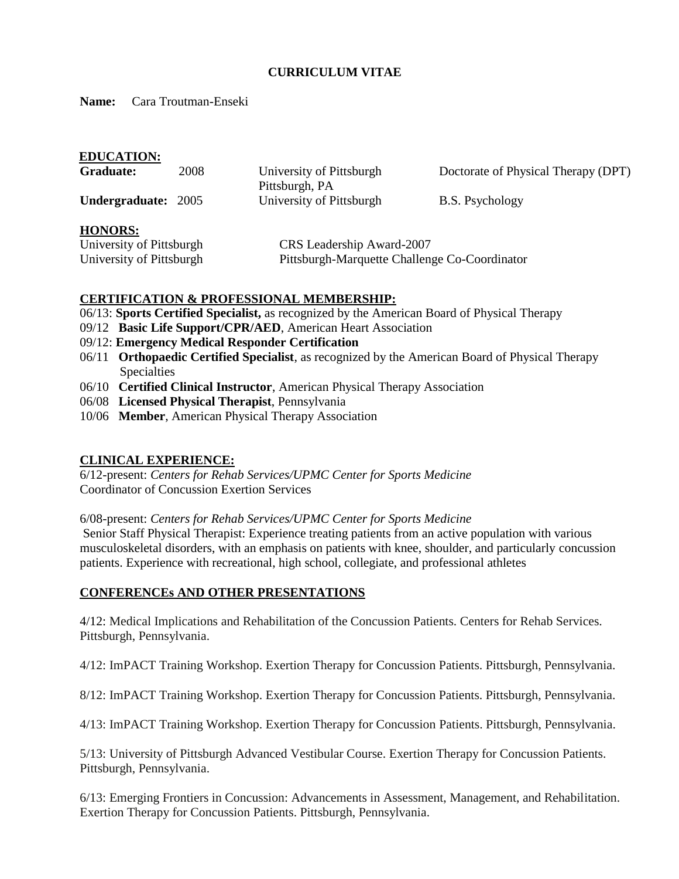# **CURRICULUM VITAE**

**Name:** Cara Troutman-Enseki

| <b>EDUCATION:</b>        |                          |                                               |  |
|--------------------------|--------------------------|-----------------------------------------------|--|
| 2008<br>Graduate:        | University of Pittsburgh | Doctorate of Physical Therapy (DPT)           |  |
|                          | Pittsburgh, PA           |                                               |  |
| Undergraduate: 2005      | University of Pittsburgh | <b>B.S. Psychology</b>                        |  |
| <b>HONORS:</b>           |                          |                                               |  |
| University of Pittsburgh |                          | CRS Leadership Award-2007                     |  |
| University of Pittsburgh |                          | Pittsburgh-Marquette Challenge Co-Coordinator |  |

# **CERTIFICATION & PROFESSIONAL MEMBERSHIP:**

- 06/13: **Sports Certified Specialist,** as recognized by the American Board of Physical Therapy
- 09/12 **Basic Life Support/CPR/AED**, American Heart Association
- 09/12: **Emergency Medical Responder Certification**
- 06/11 **Orthopaedic Certified Specialist**, as recognized by the American Board of Physical Therapy Specialties
- 06/10 **Certified Clinical Instructor**, American Physical Therapy Association
- 06/08 **Licensed Physical Therapist**, Pennsylvania
- 10/06 **Member**, American Physical Therapy Association

# **CLINICAL EXPERIENCE:**

6/12-present: *Centers for Rehab Services/UPMC Center for Sports Medicine* Coordinator of Concussion Exertion Services

6/08-present: *Centers for Rehab Services/UPMC Center for Sports Medicine*

Senior Staff Physical Therapist: Experience treating patients from an active population with various musculoskeletal disorders, with an emphasis on patients with knee, shoulder, and particularly concussion patients. Experience with recreational, high school, collegiate, and professional athletes

### **CONFERENCEs AND OTHER PRESENTATIONS**

4/12: Medical Implications and Rehabilitation of the Concussion Patients. Centers for Rehab Services. Pittsburgh, Pennsylvania.

4/12: ImPACT Training Workshop. Exertion Therapy for Concussion Patients. Pittsburgh, Pennsylvania.

8/12: ImPACT Training Workshop. Exertion Therapy for Concussion Patients. Pittsburgh, Pennsylvania.

4/13: ImPACT Training Workshop. Exertion Therapy for Concussion Patients. Pittsburgh, Pennsylvania.

5/13: University of Pittsburgh Advanced Vestibular Course. Exertion Therapy for Concussion Patients. Pittsburgh, Pennsylvania.

6/13: Emerging Frontiers in Concussion: Advancements in Assessment, Management, and Rehabilitation. Exertion Therapy for Concussion Patients. Pittsburgh, Pennsylvania.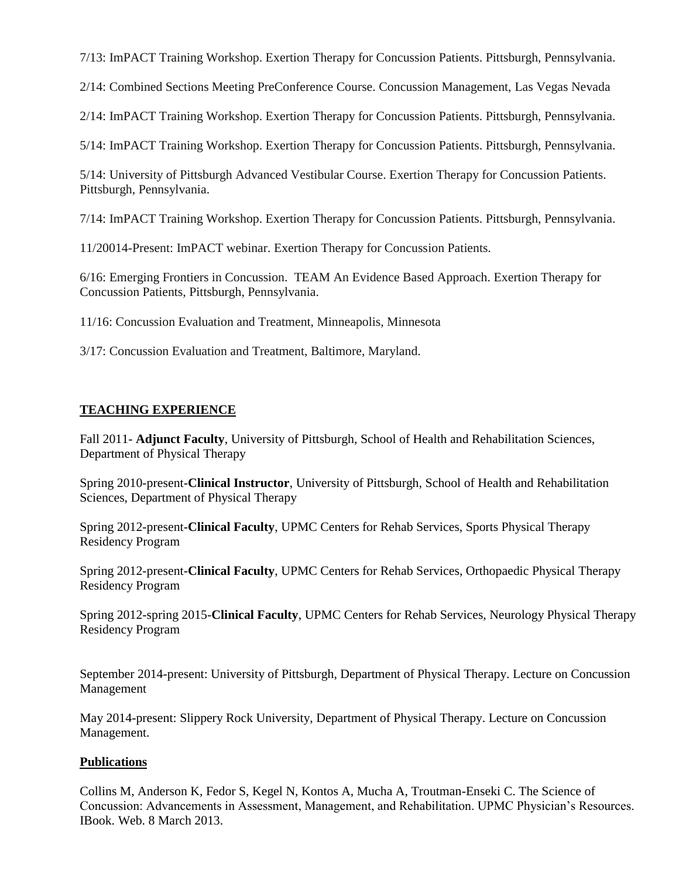7/13: ImPACT Training Workshop. Exertion Therapy for Concussion Patients. Pittsburgh, Pennsylvania.

2/14: Combined Sections Meeting PreConference Course. Concussion Management, Las Vegas Nevada

2/14: ImPACT Training Workshop. Exertion Therapy for Concussion Patients. Pittsburgh, Pennsylvania.

5/14: ImPACT Training Workshop. Exertion Therapy for Concussion Patients. Pittsburgh, Pennsylvania.

5/14: University of Pittsburgh Advanced Vestibular Course. Exertion Therapy for Concussion Patients. Pittsburgh, Pennsylvania.

7/14: ImPACT Training Workshop. Exertion Therapy for Concussion Patients. Pittsburgh, Pennsylvania.

11/20014-Present: ImPACT webinar. Exertion Therapy for Concussion Patients.

6/16: Emerging Frontiers in Concussion. TEAM An Evidence Based Approach. Exertion Therapy for Concussion Patients, Pittsburgh, Pennsylvania.

11/16: Concussion Evaluation and Treatment, Minneapolis, Minnesota

3/17: Concussion Evaluation and Treatment, Baltimore, Maryland.

# **TEACHING EXPERIENCE**

Fall 2011- **Adjunct Faculty**, University of Pittsburgh, School of Health and Rehabilitation Sciences, Department of Physical Therapy

Spring 2010-present-**Clinical Instructor**, University of Pittsburgh, School of Health and Rehabilitation Sciences, Department of Physical Therapy

Spring 2012-present-**Clinical Faculty**, UPMC Centers for Rehab Services, Sports Physical Therapy Residency Program

Spring 2012-present-**Clinical Faculty**, UPMC Centers for Rehab Services, Orthopaedic Physical Therapy Residency Program

Spring 2012-spring 2015-**Clinical Faculty**, UPMC Centers for Rehab Services, Neurology Physical Therapy Residency Program

September 2014-present: University of Pittsburgh, Department of Physical Therapy. Lecture on Concussion Management

May 2014-present: Slippery Rock University, Department of Physical Therapy. Lecture on Concussion Management.

# **Publications**

Collins M, Anderson K, Fedor S, Kegel N, Kontos A, Mucha A, Troutman-Enseki C. The Science of Concussion: Advancements in Assessment, Management, and Rehabilitation. UPMC Physician's Resources. IBook. Web. 8 March 2013.